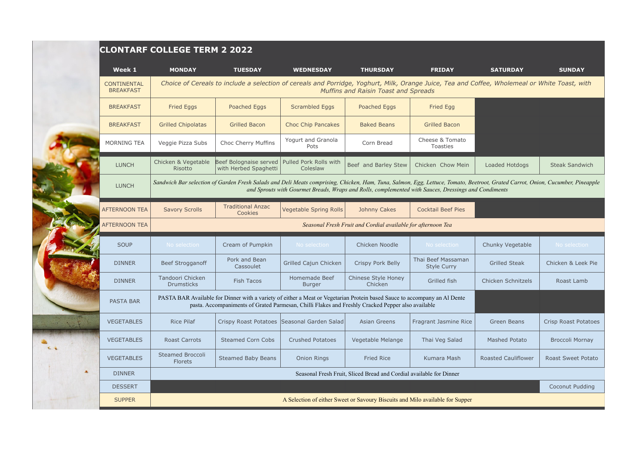|                                        | <b>CLONTARF COLLEGE TERM 2 2022</b>                                                                                                                                                                                                                                                    |                                                 |                                               |                                |                                          |                            |                             |  |  |  |
|----------------------------------------|----------------------------------------------------------------------------------------------------------------------------------------------------------------------------------------------------------------------------------------------------------------------------------------|-------------------------------------------------|-----------------------------------------------|--------------------------------|------------------------------------------|----------------------------|-----------------------------|--|--|--|
| Week 1                                 | <b>MONDAY</b>                                                                                                                                                                                                                                                                          | <b>TUESDAY</b>                                  | <b>WEDNESDAY</b>                              | <b>THURSDAY</b>                | <b>FRIDAY</b>                            | <b>SATURDAY</b>            | <b>SUNDAY</b>               |  |  |  |
| <b>CONTINENTAL</b><br><b>BREAKFAST</b> | Choice of Cereals to include a selection of cereals and Porridge, Yoghurt, Milk, Orange Juice, Tea and Coffee, Wholemeal or White Toast, with<br><b>Muffins and Raisin Toast and Spreads</b>                                                                                           |                                                 |                                               |                                |                                          |                            |                             |  |  |  |
| <b>BREAKFAST</b>                       | <b>Fried Eggs</b>                                                                                                                                                                                                                                                                      | Poached Eggs                                    | <b>Scrambled Eggs</b>                         | Poached Eggs                   | <b>Fried Egg</b>                         |                            |                             |  |  |  |
| <b>BREAKFAST</b>                       | <b>Grilled Chipolatas</b>                                                                                                                                                                                                                                                              | <b>Grilled Bacon</b>                            | <b>Choc Chip Pancakes</b>                     | <b>Baked Beans</b>             | <b>Grilled Bacon</b>                     |                            |                             |  |  |  |
| <b>MORNING TEA</b>                     | Veggie Pizza Subs                                                                                                                                                                                                                                                                      | Choc Cherry Muffins                             | Yogurt and Granola<br>Pots                    | Corn Bread                     | Cheese & Tomato<br><b>Toasties</b>       |                            |                             |  |  |  |
| <b>LUNCH</b>                           | Chicken & Vegetable<br>Risotto                                                                                                                                                                                                                                                         | Beef Bolognaise served<br>with Herbed Spaghetti | Pulled Pork Rolls with<br>Coleslaw            | Beef and Barley Stew           | Chicken Chow Mein                        | Loaded Hotdogs             | <b>Steak Sandwich</b>       |  |  |  |
| <b>LUNCH</b>                           | Sandwich Bar selection of Garden Fresh Salads and Deli Meats comprising, Chicken, Ham, Tuna, Salmon, Egg, Lettuce, Tomato, Beetroot, Grated Carrot, Onion, Cucumber, Pineapple<br>and Sprouts with Gourmet Breads, Wraps and Rolls, complemented with Sauces, Dressings and Condiments |                                                 |                                               |                                |                                          |                            |                             |  |  |  |
| <b>AFTERNOON TEA</b>                   | <b>Savory Scrolls</b>                                                                                                                                                                                                                                                                  | <b>Traditional Anzac</b><br>Cookies             | <b>Vegetable Spring Rolls</b>                 | Johnny Cakes                   | <b>Cocktail Beef Pies</b>                |                            |                             |  |  |  |
| <b>AFTERNOON TEA</b>                   | Seasonal Fresh Fruit and Cordial available for afternoon Tea                                                                                                                                                                                                                           |                                                 |                                               |                                |                                          |                            |                             |  |  |  |
| <b>SOUP</b>                            | No selection                                                                                                                                                                                                                                                                           | Cream of Pumpkin                                | No selection                                  | Chicken Noodle                 | No selection                             | Chunky Vegetable           | No selection                |  |  |  |
| <b>DINNER</b>                          | Beef Strogganoff                                                                                                                                                                                                                                                                       | Pork and Bean<br>Cassoulet                      | Grilled Cajun Chicken                         | Crispy Pork Belly              | Thai Beef Massaman<br><b>Style Curry</b> | <b>Grilled Steak</b>       | Chicken & Leek Pie          |  |  |  |
| <b>DINNER</b>                          | Tandoori Chicken<br><b>Drumsticks</b>                                                                                                                                                                                                                                                  | <b>Fish Tacos</b>                               | Homemade Beef<br><b>Burger</b>                | Chinese Style Honey<br>Chicken | Grilled fish                             | Chicken Schnitzels         | Roast Lamb                  |  |  |  |
| <b>PASTA BAR</b>                       | PASTA BAR Available for Dinner with a variety of either a Meat or Vegetarian Protein based Sauce to accompany an Al Dente<br>pasta. Accompaniments of Grated Parmesan, Chilli Flakes and Freshly Cracked Pepper also available                                                         |                                                 |                                               |                                |                                          |                            |                             |  |  |  |
| <b>VEGETABLES</b>                      | <b>Rice Pilaf</b>                                                                                                                                                                                                                                                                      |                                                 | Crispy Roast Potatoes   Seasonal Garden Salad | Asian Greens                   | Fragrant Jasmine Rice                    | Green Beans                | <b>Crisp Roast Potatoes</b> |  |  |  |
| <b>VEGETABLES</b>                      | <b>Roast Carrots</b>                                                                                                                                                                                                                                                                   | <b>Steamed Corn Cobs</b>                        | <b>Crushed Potatoes</b>                       | Vegetable Melange              | Thai Veg Salad                           | <b>Mashed Potato</b>       | <b>Broccoli Mornay</b>      |  |  |  |
| <b>VEGETABLES</b>                      | <b>Steamed Broccoli</b><br><b>Florets</b>                                                                                                                                                                                                                                              | <b>Steamed Baby Beans</b>                       | <b>Onion Rings</b>                            | <b>Fried Rice</b>              | Kumara Mash                              | <b>Roasted Cauliflower</b> | <b>Roast Sweet Potato</b>   |  |  |  |
| <b>DINNER</b>                          | Seasonal Fresh Fruit, Sliced Bread and Cordial available for Dinner                                                                                                                                                                                                                    |                                                 |                                               |                                |                                          |                            |                             |  |  |  |
| <b>DESSERT</b>                         |                                                                                                                                                                                                                                                                                        |                                                 |                                               |                                |                                          |                            | Coconut Pudding             |  |  |  |
| <b>SUPPER</b>                          | A Selection of either Sweet or Savoury Biscuits and Milo available for Supper                                                                                                                                                                                                          |                                                 |                                               |                                |                                          |                            |                             |  |  |  |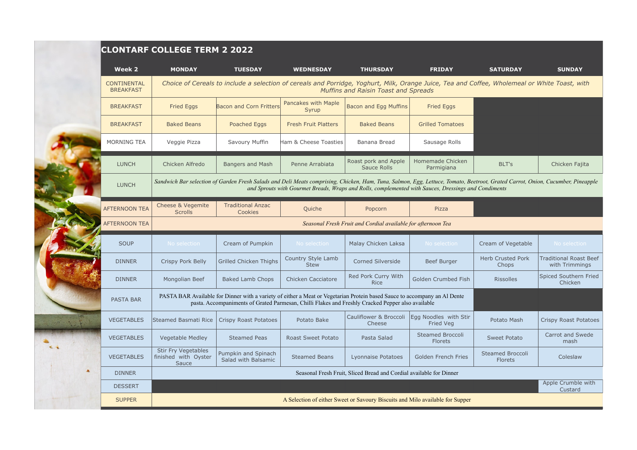| Week 2                                                                                                                                                                                                                                                                                                                                                                                                                                                                                                                                                                                                                                                                                                                                                                                                                                                                                                                                                                                                                                                                                                                                                                                                                                                                                                                                                                                                                                                                                                                                                                                                                                                                                                                                                                                                                                                                                                                                                             | <b>MONDAY</b>                                                                                                                                                                  | <b>TUESDAY</b>                             | <b>WEDNESDAY</b>          | <b>THURSDAY</b>                  | <b>FRIDAY</b>                      | <b>SATURDAY</b>                    | <b>SUNDAY</b>                                   |  |  |
|--------------------------------------------------------------------------------------------------------------------------------------------------------------------------------------------------------------------------------------------------------------------------------------------------------------------------------------------------------------------------------------------------------------------------------------------------------------------------------------------------------------------------------------------------------------------------------------------------------------------------------------------------------------------------------------------------------------------------------------------------------------------------------------------------------------------------------------------------------------------------------------------------------------------------------------------------------------------------------------------------------------------------------------------------------------------------------------------------------------------------------------------------------------------------------------------------------------------------------------------------------------------------------------------------------------------------------------------------------------------------------------------------------------------------------------------------------------------------------------------------------------------------------------------------------------------------------------------------------------------------------------------------------------------------------------------------------------------------------------------------------------------------------------------------------------------------------------------------------------------------------------------------------------------------------------------------------------------|--------------------------------------------------------------------------------------------------------------------------------------------------------------------------------|--------------------------------------------|---------------------------|----------------------------------|------------------------------------|------------------------------------|-------------------------------------------------|--|--|
| <b>CLONTARF COLLEGE TERM 2 2022</b><br>Choice of Cereals to include a selection of cereals and Porridge, Yoghurt, Milk, Orange Juice, Tea and Coffee, Wholemeal or White Toast, with<br><b>CONTINENTAL</b><br><b>BREAKFAST</b><br>Muffins and Raisin Toast and Spreads<br>Pancakes with Maple<br>Bacon and Egg Muffins<br><b>Fried Eggs</b><br><b>Bacon and Corn Fritters</b><br><b>Fried Eggs</b><br><b>BREAKFAST</b><br>Syrup<br><b>Baked Beans</b><br>Poached Eggs<br><b>Fresh Fruit Platters</b><br><b>Baked Beans</b><br><b>Grilled Tomatoes</b><br><b>BREAKFAST</b><br>Savoury Muffin<br>Sausage Rolls<br><b>MORNING TEA</b><br>Veggie Pizza<br>Ham & Cheese Toasties<br>Banana Bread<br>Homemade Chicken<br>Roast pork and Apple<br><b>LUNCH</b><br>Chicken Alfredo<br><b>Bangers and Mash</b><br>Penne Arrabiata<br>BLT's<br>Sauce Rolls<br>Parmigiana<br><b>LUNCH</b><br>and Sprouts with Gourmet Breads, Wraps and Rolls, complemented with Sauces, Dressings and Condiments<br><b>Traditional Anzac</b><br>Cheese & Vegemite<br><b>AFTERNOON TEA</b><br>Quiche<br>Popcorn<br>Pizza<br><b>Scrolls</b><br>Cookies<br><b>AFTERNOON TEA</b><br>Seasonal Fresh Fruit and Cordial available for afternoon Tea<br><b>SOUP</b><br>No selection<br>Cream of Pumpkin<br>No selection<br>Malay Chicken Laksa<br>No selection<br>Cream of Vegetable<br>Country Style Lamb<br><b>Herb Crusted Pork</b><br>Corned Silverside<br><b>Beef Burger</b><br><b>DINNER</b><br>Crispy Pork Belly<br>Grilled Chicken Thighs<br><b>Stew</b><br>Chops<br>Red Pork Curry With<br>Mongolian Beef<br><b>Baked Lamb Chops</b><br>Chicken Cacciatore<br>Golden Crumbed Fish<br><b>DINNER</b><br><b>Rissolles</b><br><b>Rice</b><br>PASTA BAR Available for Dinner with a variety of either a Meat or Vegetarian Protein based Sauce to accompany an Al Dente<br><b>PASTA BAR</b><br>pasta. Accompaniments of Grated Parmesan, Chilli Flakes and Freshly Cracked Pepper also available |                                                                                                                                                                                |                                            |                           |                                  |                                    |                                    |                                                 |  |  |
|                                                                                                                                                                                                                                                                                                                                                                                                                                                                                                                                                                                                                                                                                                                                                                                                                                                                                                                                                                                                                                                                                                                                                                                                                                                                                                                                                                                                                                                                                                                                                                                                                                                                                                                                                                                                                                                                                                                                                                    |                                                                                                                                                                                |                                            |                           |                                  |                                    |                                    |                                                 |  |  |
|                                                                                                                                                                                                                                                                                                                                                                                                                                                                                                                                                                                                                                                                                                                                                                                                                                                                                                                                                                                                                                                                                                                                                                                                                                                                                                                                                                                                                                                                                                                                                                                                                                                                                                                                                                                                                                                                                                                                                                    |                                                                                                                                                                                |                                            |                           |                                  |                                    |                                    |                                                 |  |  |
|                                                                                                                                                                                                                                                                                                                                                                                                                                                                                                                                                                                                                                                                                                                                                                                                                                                                                                                                                                                                                                                                                                                                                                                                                                                                                                                                                                                                                                                                                                                                                                                                                                                                                                                                                                                                                                                                                                                                                                    |                                                                                                                                                                                |                                            |                           |                                  |                                    |                                    |                                                 |  |  |
|                                                                                                                                                                                                                                                                                                                                                                                                                                                                                                                                                                                                                                                                                                                                                                                                                                                                                                                                                                                                                                                                                                                                                                                                                                                                                                                                                                                                                                                                                                                                                                                                                                                                                                                                                                                                                                                                                                                                                                    |                                                                                                                                                                                |                                            |                           |                                  |                                    |                                    | Chicken Fajita                                  |  |  |
|                                                                                                                                                                                                                                                                                                                                                                                                                                                                                                                                                                                                                                                                                                                                                                                                                                                                                                                                                                                                                                                                                                                                                                                                                                                                                                                                                                                                                                                                                                                                                                                                                                                                                                                                                                                                                                                                                                                                                                    | Sandwich Bar selection of Garden Fresh Salads and Deli Meats comprising, Chicken, Ham, Tuna, Salmon, Egg, Lettuce, Tomato, Beetroot, Grated Carrot, Onion, Cucumber, Pineapple |                                            |                           |                                  |                                    |                                    |                                                 |  |  |
|                                                                                                                                                                                                                                                                                                                                                                                                                                                                                                                                                                                                                                                                                                                                                                                                                                                                                                                                                                                                                                                                                                                                                                                                                                                                                                                                                                                                                                                                                                                                                                                                                                                                                                                                                                                                                                                                                                                                                                    |                                                                                                                                                                                |                                            |                           |                                  |                                    |                                    |                                                 |  |  |
|                                                                                                                                                                                                                                                                                                                                                                                                                                                                                                                                                                                                                                                                                                                                                                                                                                                                                                                                                                                                                                                                                                                                                                                                                                                                                                                                                                                                                                                                                                                                                                                                                                                                                                                                                                                                                                                                                                                                                                    |                                                                                                                                                                                |                                            |                           |                                  |                                    |                                    |                                                 |  |  |
|                                                                                                                                                                                                                                                                                                                                                                                                                                                                                                                                                                                                                                                                                                                                                                                                                                                                                                                                                                                                                                                                                                                                                                                                                                                                                                                                                                                                                                                                                                                                                                                                                                                                                                                                                                                                                                                                                                                                                                    |                                                                                                                                                                                |                                            |                           |                                  |                                    |                                    | No selection                                    |  |  |
|                                                                                                                                                                                                                                                                                                                                                                                                                                                                                                                                                                                                                                                                                                                                                                                                                                                                                                                                                                                                                                                                                                                                                                                                                                                                                                                                                                                                                                                                                                                                                                                                                                                                                                                                                                                                                                                                                                                                                                    |                                                                                                                                                                                |                                            |                           |                                  |                                    |                                    | <b>Traditional Roast Beef</b><br>with Trimmings |  |  |
|                                                                                                                                                                                                                                                                                                                                                                                                                                                                                                                                                                                                                                                                                                                                                                                                                                                                                                                                                                                                                                                                                                                                                                                                                                                                                                                                                                                                                                                                                                                                                                                                                                                                                                                                                                                                                                                                                                                                                                    |                                                                                                                                                                                |                                            |                           |                                  |                                    |                                    | Spiced Southern Fried<br>Chicken                |  |  |
|                                                                                                                                                                                                                                                                                                                                                                                                                                                                                                                                                                                                                                                                                                                                                                                                                                                                                                                                                                                                                                                                                                                                                                                                                                                                                                                                                                                                                                                                                                                                                                                                                                                                                                                                                                                                                                                                                                                                                                    |                                                                                                                                                                                |                                            |                           |                                  |                                    |                                    |                                                 |  |  |
| <b>VEGETABLES</b>                                                                                                                                                                                                                                                                                                                                                                                                                                                                                                                                                                                                                                                                                                                                                                                                                                                                                                                                                                                                                                                                                                                                                                                                                                                                                                                                                                                                                                                                                                                                                                                                                                                                                                                                                                                                                                                                                                                                                  | Steamed Basmati Rice                                                                                                                                                           | Crispy Roast Potatoes                      | Potato Bake               | Cauliflower & Broccoli<br>Cheese | Egg Noodles with Stir<br>Fried Veg | Potato Mash                        | Crispy Roast Potatoes                           |  |  |
| <b>VEGETABLES</b>                                                                                                                                                                                                                                                                                                                                                                                                                                                                                                                                                                                                                                                                                                                                                                                                                                                                                                                                                                                                                                                                                                                                                                                                                                                                                                                                                                                                                                                                                                                                                                                                                                                                                                                                                                                                                                                                                                                                                  | Vegetable Medley                                                                                                                                                               | <b>Steamed Peas</b>                        | <b>Roast Sweet Potato</b> | Pasta Salad                      | Steamed Broccoli<br>Florets        | Sweet Potato                       | Carrot and Swede<br>mash                        |  |  |
| <b>VEGETABLES</b>                                                                                                                                                                                                                                                                                                                                                                                                                                                                                                                                                                                                                                                                                                                                                                                                                                                                                                                                                                                                                                                                                                                                                                                                                                                                                                                                                                                                                                                                                                                                                                                                                                                                                                                                                                                                                                                                                                                                                  | Stir Fry Vegetables<br>finished with Oyster<br>Sauce                                                                                                                           | Pumpkin and Spinach<br>Salad with Balsamic | <b>Steamed Beans</b>      | Lyonnaise Potatoes               | Golden French Fries                | <b>Steamed Broccoli</b><br>Florets | Coleslaw                                        |  |  |
| <b>DINNER</b>                                                                                                                                                                                                                                                                                                                                                                                                                                                                                                                                                                                                                                                                                                                                                                                                                                                                                                                                                                                                                                                                                                                                                                                                                                                                                                                                                                                                                                                                                                                                                                                                                                                                                                                                                                                                                                                                                                                                                      | Seasonal Fresh Fruit, Sliced Bread and Cordial available for Dinner                                                                                                            |                                            |                           |                                  |                                    |                                    |                                                 |  |  |
| <b>DESSERT</b>                                                                                                                                                                                                                                                                                                                                                                                                                                                                                                                                                                                                                                                                                                                                                                                                                                                                                                                                                                                                                                                                                                                                                                                                                                                                                                                                                                                                                                                                                                                                                                                                                                                                                                                                                                                                                                                                                                                                                     |                                                                                                                                                                                |                                            |                           |                                  |                                    |                                    | Apple Crumble with<br>Custard                   |  |  |
| <b>SUPPER</b>                                                                                                                                                                                                                                                                                                                                                                                                                                                                                                                                                                                                                                                                                                                                                                                                                                                                                                                                                                                                                                                                                                                                                                                                                                                                                                                                                                                                                                                                                                                                                                                                                                                                                                                                                                                                                                                                                                                                                      | A Selection of either Sweet or Savoury Biscuits and Milo available for Supper                                                                                                  |                                            |                           |                                  |                                    |                                    |                                                 |  |  |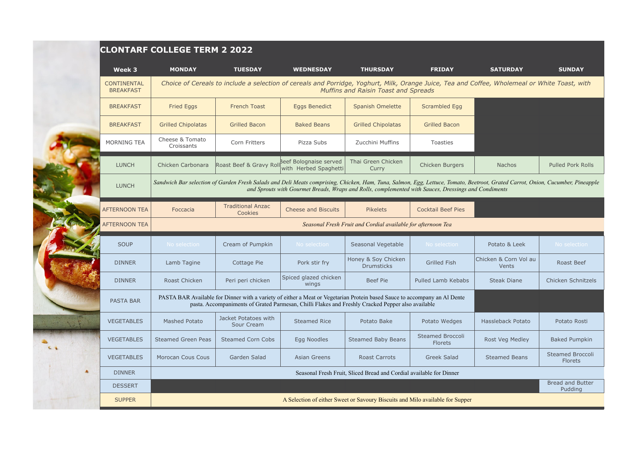|                                        | <b>CLONTARF COLLEGE TERM 2 2022</b>                                                                                                                                                                                                                                                    |                                                           |                                |                                                              |                                           |                                |                                    |  |  |  |
|----------------------------------------|----------------------------------------------------------------------------------------------------------------------------------------------------------------------------------------------------------------------------------------------------------------------------------------|-----------------------------------------------------------|--------------------------------|--------------------------------------------------------------|-------------------------------------------|--------------------------------|------------------------------------|--|--|--|
| Week 3                                 | <b>MONDAY</b>                                                                                                                                                                                                                                                                          | <b>TUESDAY</b>                                            | <b>WEDNESDAY</b>               | <b>THURSDAY</b>                                              | <b>FRIDAY</b>                             | <b>SATURDAY</b>                | <b>SUNDAY</b>                      |  |  |  |
| <b>CONTINENTAL</b><br><b>BREAKFAST</b> | Choice of Cereals to include a selection of cereals and Porridge, Yoghurt, Milk, Orange Juice, Tea and Coffee, Wholemeal or White Toast, with<br>Muffins and Raisin Toast and Spreads                                                                                                  |                                                           |                                |                                                              |                                           |                                |                                    |  |  |  |
| <b>BREAKFAST</b>                       | <b>Fried Eggs</b>                                                                                                                                                                                                                                                                      | <b>French Toast</b>                                       | <b>Eggs Benedict</b>           | <b>Spanish Omelette</b>                                      | <b>Scrambled Egg</b>                      |                                |                                    |  |  |  |
| <b>BREAKFAST</b>                       | <b>Grilled Chipolatas</b>                                                                                                                                                                                                                                                              | <b>Grilled Bacon</b>                                      | <b>Baked Beans</b>             | <b>Grilled Chipolatas</b>                                    | <b>Grilled Bacon</b>                      |                                |                                    |  |  |  |
| <b>MORNING TEA</b>                     | Cheese & Tomato<br>Croissants                                                                                                                                                                                                                                                          | Corn Fritters                                             | Pizza Subs                     | Zucchini Muffins                                             | <b>Toasties</b>                           |                                |                                    |  |  |  |
| <b>LUNCH</b>                           | Chicken Carbonara                                                                                                                                                                                                                                                                      | Roast Beef & Gravy Roll <sup>Beef</sup> Bolognaise served | with Herbed Spaghetti          | Thai Green Chicken<br>Curry                                  | Chicken Burgers                           | <b>Nachos</b>                  | <b>Pulled Pork Rolls</b>           |  |  |  |
| <b>LUNCH</b>                           | Sandwich Bar selection of Garden Fresh Salads and Deli Meats comprising, Chicken, Ham, Tuna, Salmon, Egg, Lettuce, Tomato, Beetroot, Grated Carrot, Onion, Cucumber, Pineapple<br>and Sprouts with Gourmet Breads, Wraps and Rolls, complemented with Sauces, Dressings and Condiments |                                                           |                                |                                                              |                                           |                                |                                    |  |  |  |
| <b>AFTERNOON TEA</b>                   | Foccacia                                                                                                                                                                                                                                                                               | <b>Traditional Anzac</b><br>Cookies                       | <b>Cheese and Biscuits</b>     | <b>Pikelets</b>                                              | <b>Cocktail Beef Pies</b>                 |                                |                                    |  |  |  |
| <b>AFTERNOON TEA</b>                   |                                                                                                                                                                                                                                                                                        |                                                           |                                | Seasonal Fresh Fruit and Cordial available for afternoon Tea |                                           |                                |                                    |  |  |  |
| <b>SOUP</b>                            | No selection                                                                                                                                                                                                                                                                           | Cream of Pumpkin                                          | No selection                   | Seasonal Vegetable                                           | No selection                              | Potato & Leek                  | No selection                       |  |  |  |
| <b>DINNER</b>                          | Lamb Tagine                                                                                                                                                                                                                                                                            | Cottage Pie                                               | Pork stir fry                  | Honey & Soy Chicken<br><b>Drumsticks</b>                     | <b>Grilled Fish</b>                       | Chicken & Corn Vol au<br>Vents | Roast Beef                         |  |  |  |
| <b>DINNER</b>                          | Roast Chicken                                                                                                                                                                                                                                                                          | Peri peri chicken                                         | Spiced glazed chicken<br>wings | Beef Pie                                                     | Pulled Lamb Kebabs                        | <b>Steak Diane</b>             | Chicken Schnitzels                 |  |  |  |
| <b>PASTA BAR</b>                       | PASTA BAR Available for Dinner with a variety of either a Meat or Vegetarian Protein based Sauce to accompany an Al Dente<br>pasta. Accompaniments of Grated Parmesan, Chilli Flakes and Freshly Cracked Pepper also available                                                         |                                                           |                                |                                                              |                                           |                                |                                    |  |  |  |
| <b>VEGETABLES</b>                      | <b>Mashed Potato</b>                                                                                                                                                                                                                                                                   | Jacket Potatoes with<br>Sour Cream                        | <b>Steamed Rice</b>            | Potato Bake                                                  | Potato Wedges                             | Hassleback Potato              | Potato Rosti                       |  |  |  |
| <b>VEGETABLES</b>                      | <b>Steamed Green Peas</b>                                                                                                                                                                                                                                                              | <b>Steamed Corn Cobs</b>                                  | Egg Noodles                    | <b>Steamed Baby Beans</b>                                    | <b>Steamed Broccoli</b><br><b>Florets</b> | Rost Veg Medley                | <b>Baked Pumpkin</b>               |  |  |  |
| <b>VEGETABLES</b>                      | Morocan Cous Cous                                                                                                                                                                                                                                                                      | Garden Salad                                              | Asian Greens                   | Roast Carrots                                                | Greek Salad                               | <b>Steamed Beans</b>           | <b>Steamed Broccoli</b><br>Florets |  |  |  |
| <b>DINNER</b>                          | Seasonal Fresh Fruit, Sliced Bread and Cordial available for Dinner                                                                                                                                                                                                                    |                                                           |                                |                                                              |                                           |                                |                                    |  |  |  |
| <b>DESSERT</b>                         |                                                                                                                                                                                                                                                                                        |                                                           |                                |                                                              |                                           |                                | <b>Bread and Butter</b><br>Pudding |  |  |  |
| <b>SUPPER</b>                          | A Selection of either Sweet or Savoury Biscuits and Milo available for Supper                                                                                                                                                                                                          |                                                           |                                |                                                              |                                           |                                |                                    |  |  |  |